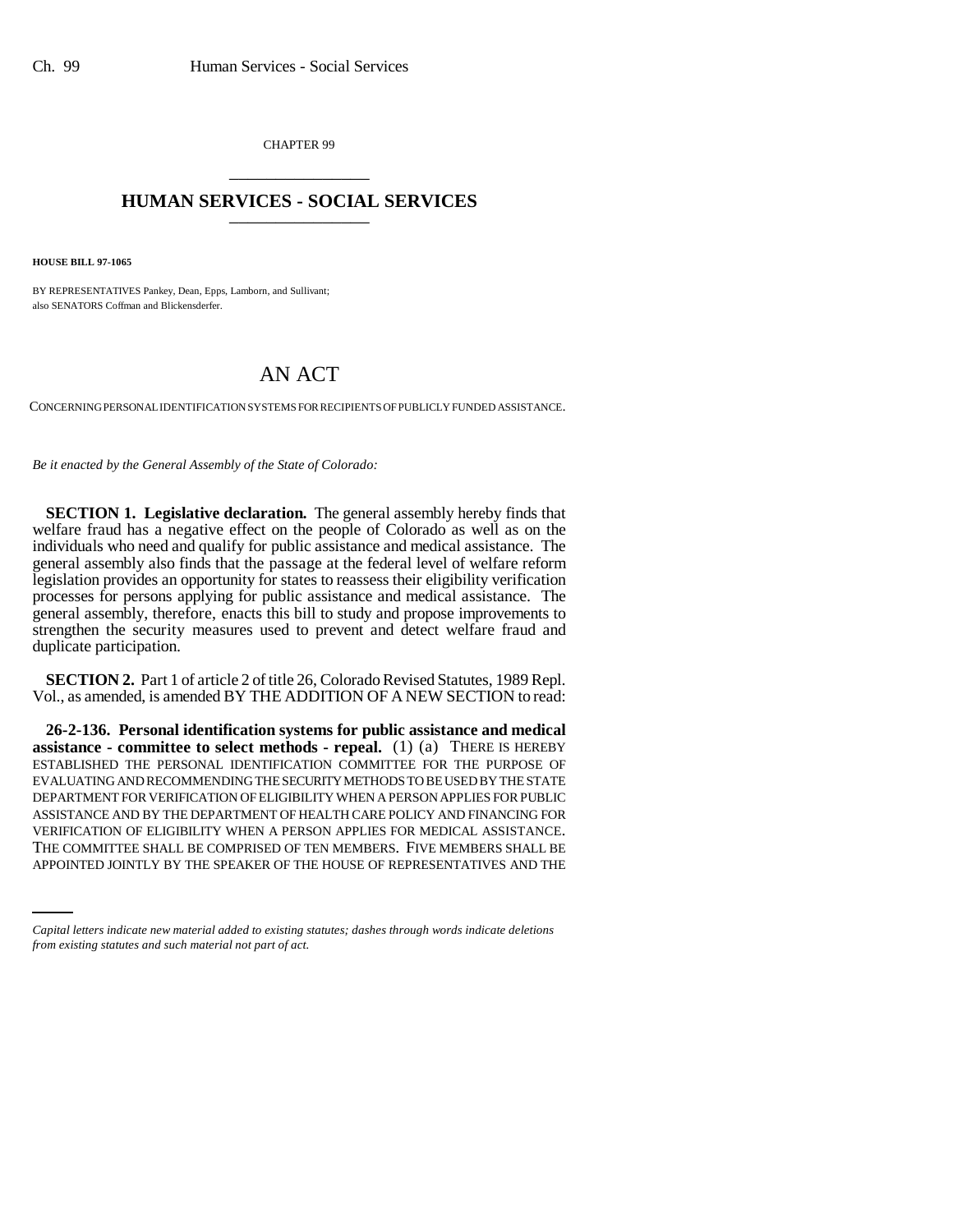CHAPTER 99 \_\_\_\_\_\_\_\_\_\_\_\_\_\_\_

## **HUMAN SERVICES - SOCIAL SERVICES** \_\_\_\_\_\_\_\_\_\_\_\_\_\_\_

**HOUSE BILL 97-1065**

BY REPRESENTATIVES Pankey, Dean, Epps, Lamborn, and Sullivant; also SENATORS Coffman and Blickensderfer.

## AN ACT

CONCERNING PERSONAL IDENTIFICATION SYSTEMS FOR RECIPIENTS OF PUBLICLY FUNDED ASSISTANCE.

*Be it enacted by the General Assembly of the State of Colorado:*

**SECTION 1. Legislative declaration.** The general assembly hereby finds that welfare fraud has a negative effect on the people of Colorado as well as on the individuals who need and qualify for public assistance and medical assistance. The general assembly also finds that the passage at the federal level of welfare reform legislation provides an opportunity for states to reassess their eligibility verification processes for persons applying for public assistance and medical assistance. The general assembly, therefore, enacts this bill to study and propose improvements to strengthen the security measures used to prevent and detect welfare fraud and duplicate participation.

**SECTION 2.** Part 1 of article 2 of title 26, Colorado Revised Statutes, 1989 Repl. Vol., as amended, is amended BY THE ADDITION OF A NEW SECTION to read:

VERIFICATION OF ELIGIBILITY WHEN A PERSON APPLIES FOR MEDICAL ASSISTANCE. **26-2-136. Personal identification systems for public assistance and medical assistance - committee to select methods - repeal.** (1) (a) THERE IS HEREBY ESTABLISHED THE PERSONAL IDENTIFICATION COMMITTEE FOR THE PURPOSE OF EVALUATING AND RECOMMENDING THE SECURITY METHODS TO BE USED BY THE STATE DEPARTMENT FOR VERIFICATION OF ELIGIBILITY WHEN A PERSON APPLIES FOR PUBLIC ASSISTANCE AND BY THE DEPARTMENT OF HEALTH CARE POLICY AND FINANCING FOR THE COMMITTEE SHALL BE COMPRISED OF TEN MEMBERS. FIVE MEMBERS SHALL BE APPOINTED JOINTLY BY THE SPEAKER OF THE HOUSE OF REPRESENTATIVES AND THE

*Capital letters indicate new material added to existing statutes; dashes through words indicate deletions from existing statutes and such material not part of act.*